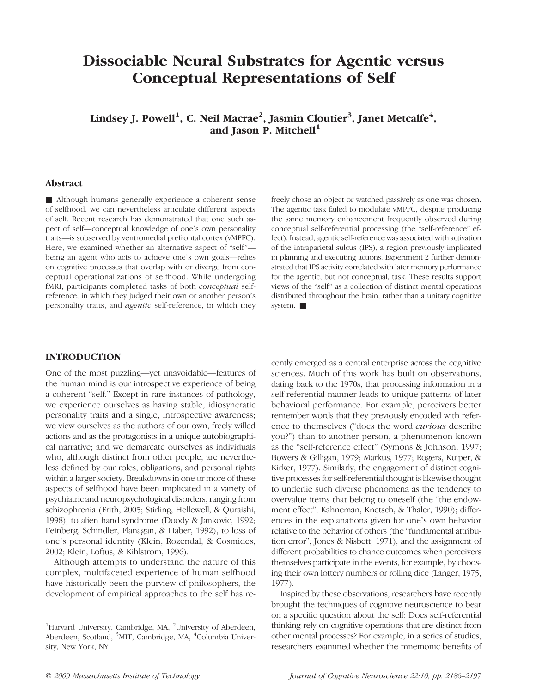# Dissociable Neural Substrates for Agentic versus Conceptual Representations of Self

Lindsey J. Powell $^1$ , C. Neil Macrae $^2$ , Jasmin Cloutier $^3$ , Janet Metcalfe $^4,$ and Jason P. Mitchell $<sup>1</sup>$ </sup>

#### Abstract

■ Although humans generally experience a coherent sense of selfhood, we can nevertheless articulate different aspects of self. Recent research has demonstrated that one such aspect of self—conceptual knowledge of one's own personality traits—is subserved by ventromedial prefrontal cortex (vMPFC). Here, we examined whether an alternative aspect of "self" being an agent who acts to achieve one's own goals—relies on cognitive processes that overlap with or diverge from conceptual operationalizations of selfhood. While undergoing fMRI, participants completed tasks of both *conceptual* selfreference, in which they judged their own or another person's personality traits, and agentic self-reference, in which they

freely chose an object or watched passively as one was chosen. The agentic task failed to modulate vMPFC, despite producing the same memory enhancement frequently observed during conceptual self-referential processing (the "self-reference" effect). Instead, agentic self-reference was associated with activation of the intraparietal sulcus (IPS), a region previously implicated in planning and executing actions. Experiment 2 further demonstrated that IPS activity correlated with later memory performance for the agentic, but not conceptual, task. These results support views of the "self" as a collection of distinct mental operations distributed throughout the brain, rather than a unitary cognitive system. ■

## INTRODUCTION

One of the most puzzling—yet unavoidable—features of the human mind is our introspective experience of being a coherent "self." Except in rare instances of pathology, we experience ourselves as having stable, idiosyncratic personality traits and a single, introspective awareness; we view ourselves as the authors of our own, freely willed actions and as the protagonists in a unique autobiographical narrative; and we demarcate ourselves as individuals who, although distinct from other people, are nevertheless defined by our roles, obligations, and personal rights within a larger society. Breakdowns in one or more of these aspects of selfhood have been implicated in a variety of psychiatric and neuropsychological disorders, ranging from schizophrenia (Frith, 2005; Stirling, Hellewell, & Quraishi, 1998), to alien hand syndrome (Doody & Jankovic, 1992; Feinberg, Schindler, Flanagan, & Haber, 1992), to loss of one's personal identity (Klein, Rozendal, & Cosmides, 2002; Klein, Loftus, & Kihlstrom, 1996).

Although attempts to understand the nature of this complex, multifaceted experience of human selfhood have historically been the purview of philosophers, the development of empirical approaches to the self has recently emerged as a central enterprise across the cognitive sciences. Much of this work has built on observations, dating back to the 1970s, that processing information in a self-referential manner leads to unique patterns of later behavioral performance. For example, perceivers better remember words that they previously encoded with reference to themselves ("does the word curious describe you?") than to another person, a phenomenon known as the "self-reference effect" (Symons & Johnson, 1997; Bowers & Gilligan, 1979; Markus, 1977; Rogers, Kuiper, & Kirker, 1977). Similarly, the engagement of distinct cognitive processes for self-referential thought is likewise thought to underlie such diverse phenomena as the tendency to overvalue items that belong to oneself (the "the endowment effect"; Kahneman, Knetsch, & Thaler, 1990); differences in the explanations given for one's own behavior relative to the behavior of others (the "fundamental attribution error"; Jones & Nisbett, 1971); and the assignment of different probabilities to chance outcomes when perceivers themselves participate in the events, for example, by choosing their own lottery numbers or rolling dice (Langer, 1975, 1977).

Inspired by these observations, researchers have recently brought the techniques of cognitive neuroscience to bear on a specific question about the self: Does self-referential thinking rely on cognitive operations that are distinct from other mental processes? For example, in a series of studies, researchers examined whether the mnemonic benefits of

<sup>&</sup>lt;sup>1</sup>Harvard University, Cambridge, MA, <sup>2</sup>University of Aberdeen, Aberdeen, Scotland, <sup>3</sup>MIT, Cambridge, MA, <sup>4</sup>Columbia University, New York, NY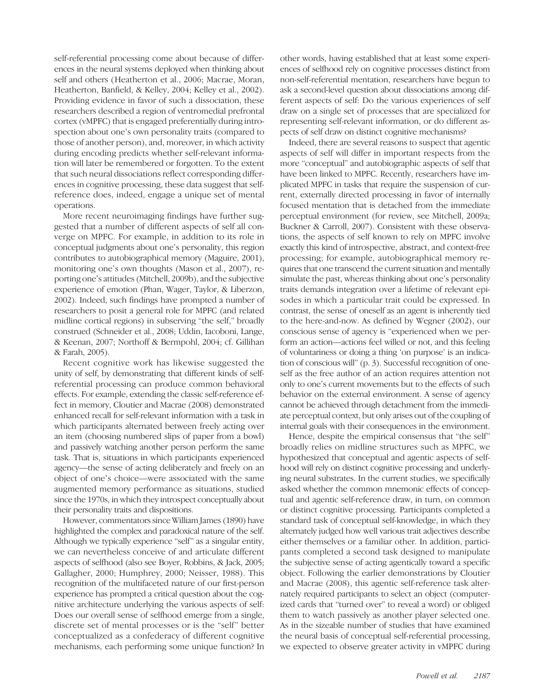self-referential processing come about because of differences in the neural systems deployed when thinking about self and others (Heatherton et al., 2006; Macrae, Moran, Heatherton, Banfield, & Kelley, 2004; Kelley et al., 2002). Providing evidence in favor of such a dissociation, these researchers described a region of ventromedial prefrontal cortex (vMPFC) that is engaged preferentially during introspection about one's own personality traits (compared to those of another person), and, moreover, in which activity during encoding predicts whether self-relevant information will later be remembered or forgotten. To the extent that such neural dissociations reflect corresponding differences in cognitive processing, these data suggest that selfreference does, indeed, engage a unique set of mental operations.

More recent neuroimaging findings have further suggested that a number of different aspects of self all converge on MPFC. For example, in addition to its role in conceptual judgments about one's personality, this region contributes to autobiographical memory (Maguire, 2001), monitoring one's own thoughts (Mason et al., 2007), reporting one's attitudes (Mitchell, 2009b), and the subjective experience of emotion (Phan, Wager, Taylor, & Liberzon, 2002). Indeed, such findings have prompted a number of researchers to posit a general role for MPFC (and related midline cortical regions) in subserving "the self," broadly construed (Schneider et al., 2008; Uddin, Iacoboni, Lange, & Keenan, 2007; Northoff & Bermpohl, 2004; cf. Gillihan & Farah, 2005).

Recent cognitive work has likewise suggested the unity of self, by demonstrating that different kinds of selfreferential processing can produce common behavioral effects. For example, extending the classic self-reference effect in memory, Cloutier and Macrae (2008) demonstrated enhanced recall for self-relevant information with a task in which participants alternated between freely acting over an item (choosing numbered slips of paper from a bowl) and passively watching another person perform the same task. That is, situations in which participants experienced agency—the sense of acting deliberately and freely on an object of one's choice—were associated with the same augmented memory performance as situations, studied since the 1970s, in which they introspect conceptually about their personality traits and dispositions.

However, commentators since William James (1890) have highlighted the complex and paradoxical nature of the self. Although we typically experience "self" as a singular entity, we can nevertheless conceive of and articulate different aspects of selfhood (also see Boyer, Robbins, & Jack, 2005; Gallagher, 2000; Humphrey, 2000; Neisser, 1988). This recognition of the multifaceted nature of our first-person experience has prompted a critical question about the cognitive architecture underlying the various aspects of self: Does our overall sense of selfhood emerge from a single, discrete set of mental processes or is the "self" better conceptualized as a confederacy of different cognitive mechanisms, each performing some unique function? In

other words, having established that at least some experiences of selfhood rely on cognitive processes distinct from non-self-referential mentation, researchers have begun to ask a second-level question about dissociations among different aspects of self: Do the various experiences of self draw on a single set of processes that are specialized for representing self-relevant information, or do different aspects of self draw on distinct cognitive mechanisms?

Indeed, there are several reasons to suspect that agentic aspects of self will differ in important respects from the more "conceptual" and autobiographic aspects of self that have been linked to MPFC. Recently, researchers have implicated MPFC in tasks that require the suspension of current, externally directed processing in favor of internally focused mentation that is detached from the immediate perceptual environment (for review, see Mitchell, 2009a; Buckner & Carroll, 2007). Consistent with these observations, the aspects of self known to rely on MPFC involve exactly this kind of introspective, abstract, and context-free processing; for example, autobiographical memory requires that one transcend the current situation and mentally simulate the past, whereas thinking about one's personality traits demands integration over a lifetime of relevant episodes in which a particular trait could be expressed. In contrast, the sense of oneself as an agent is inherently tied to the here-and-now. As defined by Wegner (2002), our conscious sense of agency is "experienced when we perform an action—actions feel willed or not, and this feeling of voluntariness or doing a thing 'on purpose' is an indication of conscious will" (p. 3). Successful recognition of oneself as the free author of an action requires attention not only to one's current movements but to the effects of such behavior on the external environment. A sense of agency cannot be achieved through detachment from the immediate perceptual context, but only arises out of the coupling of internal goals with their consequences in the environment.

Hence, despite the empirical consensus that "the self" broadly relies on midline structures such as MPFC, we hypothesized that conceptual and agentic aspects of selfhood will rely on distinct cognitive processing and underlying neural substrates. In the current studies, we specifically asked whether the common mnemonic effects of conceptual and agentic self-reference draw, in turn, on common or distinct cognitive processing. Participants completed a standard task of conceptual self-knowledge, in which they alternately judged how well various trait adjectives describe either themselves or a familiar other. In addition, participants completed a second task designed to manipulate the subjective sense of acting agentically toward a specific object. Following the earlier demonstrations by Cloutier and Macrae (2008), this agentic self-reference task alternately required participants to select an object (computerized cards that "turned over" to reveal a word) or obliged them to watch passively as another player selected one. As in the sizeable number of studies that have examined the neural basis of conceptual self-referential processing, we expected to observe greater activity in vMPFC during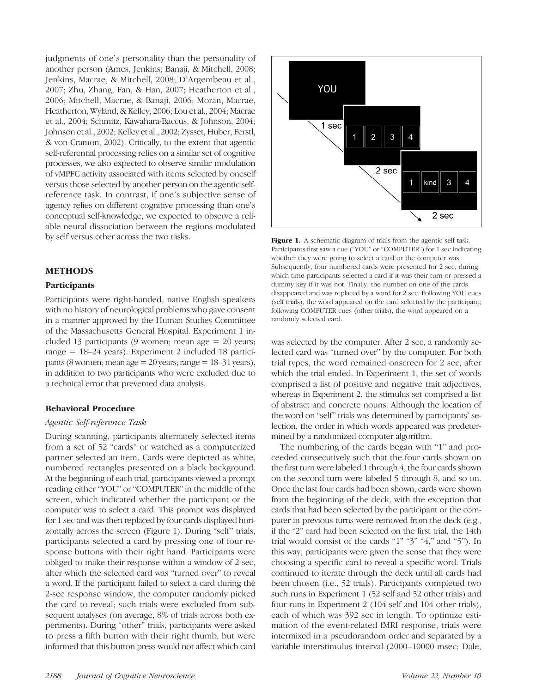judgments of one's personality than the personality of another person (Ames, Jenkins, Banaji, & Mitchell, 2008; Jenkins, Macrae, & Mitchell, 2008; D'Argembeau et al., 2007; Zhu, Zhang, Fan, & Han, 2007; Heatherton et al., 2006; Mitchell, Macrae, & Banaji, 2006; Moran, Macrae, Heatherton, Wyland, & Kelley, 2006; Lou et al., 2004; Macrae et al., 2004; Schmitz, Kawahara-Baccus, & Johnson, 2004; Johnson et al., 2002; Kelley et al., 2002; Zysset, Huber, Ferstl, & von Cramon, 2002). Critically, to the extent that agentic self-referential processing relies on a similar set of cognitive processes, we also expected to observe similar modulation of vMPFC activity associated with items selected by oneself versus those selected by another person on the agentic selfreference task. In contrast, if one's subjective sense of agency relies on different cognitive processing than one's conceptual self-knowledge, we expected to observe a reliable neural dissociation between the regions modulated by self versus other across the two tasks.

## METHODS

#### **Participants**

Participants were right-handed, native English speakers with no history of neurological problems who gave consent in a manner approved by the Human Studies Committee of the Massachusetts General Hospital. Experiment 1 included 13 participants (9 women; mean age = 20 years; range = 18–24 years). Experiment 2 included 18 participants (8 women; mean age =  $20$  years; range =  $18-31$  years), in addition to two participants who were excluded due to a technical error that prevented data analysis.

#### Behavioral Procedure

#### Agentic Self-reference Task

During scanning, participants alternately selected items from a set of 52 "cards" or watched as a computerized partner selected an item. Cards were depicted as white, numbered rectangles presented on a black background. At the beginning of each trial, participants viewed a prompt reading either "YOU" or "COMPUTER" in the middle of the screen, which indicated whether the participant or the computer was to select a card. This prompt was displayed for 1 sec and was then replaced by four cards displayed horizontally across the screen (Figure 1). During "self" trials, participants selected a card by pressing one of four response buttons with their right hand. Participants were obliged to make their response within a window of 2 sec, after which the selected card was "turned over" to reveal a word. If the participant failed to select a card during the 2-sec response window, the computer randomly picked the card to reveal; such trials were excluded from subsequent analyses (on average, 8% of trials across both experiments). During "other" trials, participants were asked to press a fifth button with their right thumb, but were informed that this button press would not affect which card



Figure 1. A schematic diagram of trials from the agentic self task. Participants first saw a cue ("YOU" or "COMPUTER") for 1 sec indicating whether they were going to select a card or the computer was. Subsequently, four numbered cards were presented for 2 sec, during which time participants selected a card if it was their turn or pressed a dummy key if it was not. Finally, the number on one of the cards disappeared and was replaced by a word for 2 sec. Following YOU cues (self trials), the word appeared on the card selected by the participant; following COMPUTER cues (other trials), the word appeared on a randomly selected card.

was selected by the computer. After 2 sec, a randomly selected card was "turned over" by the computer. For both trial types, the word remained onscreen for 2 sec, after which the trial ended. In Experiment 1, the set of words comprised a list of positive and negative trait adjectives, whereas in Experiment 2, the stimulus set comprised a list of abstract and concrete nouns. Although the location of the word on "self" trials was determined by participants' selection, the order in which words appeared was predetermined by a randomized computer algorithm.

The numbering of the cards began with "1" and proceeded consecutively such that the four cards shown on the first turn were labeled 1 through 4, the four cards shown on the second turn were labeled 5 through 8, and so on. Once the last four cards had been shown, cards were shown from the beginning of the deck, with the exception that cards that had been selected by the participant or the computer in previous turns were removed from the deck (e.g., if the "2" card had been selected on the first trial, the 14th trial would consist of the cards "1" "3" "4," and "5"). In this way, participants were given the sense that they were choosing a specific card to reveal a specific word. Trials continued to iterate through the deck until all cards had been chosen (i.e., 52 trials). Participants completed two such runs in Experiment 1 (52 self and 52 other trials) and four runs in Experiment 2 (104 self and 104 other trials), each of which was 392 sec in length. To optimize estimation of the event-related fMRI response, trials were intermixed in a pseudorandom order and separated by a variable interstimulus interval (2000–10000 msec; Dale,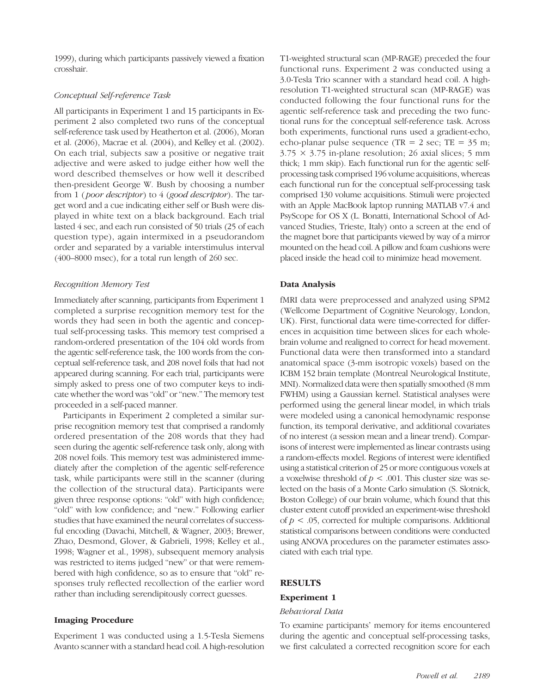1999), during which participants passively viewed a fixation crosshair.

## Conceptual Self-reference Task

All participants in Experiment 1 and 15 participants in Experiment 2 also completed two runs of the conceptual self-reference task used by Heatherton et al. (2006), Moran et al. (2006), Macrae et al. (2004), and Kelley et al. (2002). On each trial, subjects saw a positive or negative trait adjective and were asked to judge either how well the word described themselves or how well it described then-president George W. Bush by choosing a number from 1 ( poor descriptor) to 4 (good descriptor). The target word and a cue indicating either self or Bush were displayed in white text on a black background. Each trial lasted 4 sec, and each run consisted of 50 trials (25 of each question type), again intermixed in a pseudorandom order and separated by a variable interstimulus interval (400–8000 msec), for a total run length of 260 sec.

## Recognition Memory Test

Immediately after scanning, participants from Experiment 1 completed a surprise recognition memory test for the words they had seen in both the agentic and conceptual self-processing tasks. This memory test comprised a random-ordered presentation of the 104 old words from the agentic self-reference task, the 100 words from the conceptual self-reference task, and 208 novel foils that had not appeared during scanning. For each trial, participants were simply asked to press one of two computer keys to indicate whether the word was "old" or "new." The memory test proceeded in a self-paced manner.

Participants in Experiment 2 completed a similar surprise recognition memory test that comprised a randomly ordered presentation of the 208 words that they had seen during the agentic self-reference task only, along with 208 novel foils. This memory test was administered immediately after the completion of the agentic self-reference task, while participants were still in the scanner (during the collection of the structural data). Participants were given three response options: "old" with high confidence; "old" with low confidence; and "new." Following earlier studies that have examined the neural correlates of successful encoding (Davachi, Mitchell, & Wagner, 2003; Brewer, Zhao, Desmond, Glover, & Gabrieli, 1998; Kelley et al., 1998; Wagner et al., 1998), subsequent memory analysis was restricted to items judged "new" or that were remembered with high confidence, so as to ensure that "old" responses truly reflected recollection of the earlier word rather than including serendipitously correct guesses.

## Imaging Procedure

Experiment 1 was conducted using a 1.5-Tesla Siemens Avanto scanner with a standard head coil. A high-resolution

T1-weighted structural scan (MP-RAGE) preceded the four functional runs. Experiment 2 was conducted using a 3.0-Tesla Trio scanner with a standard head coil. A highresolution T1-weighted structural scan (MP-RAGE) was conducted following the four functional runs for the agentic self-reference task and preceding the two functional runs for the conceptual self-reference task. Across both experiments, functional runs used a gradient-echo, echo-planar pulse sequence (TR =  $2 \text{ sec}$ ; TE =  $35 \text{ m}$ ;  $3.75 \times 3.75$  in-plane resolution; 26 axial slices; 5 mm thick; 1 mm skip). Each functional run for the agentic selfprocessing task comprised 196 volume acquisitions, whereas each functional run for the conceptual self-processing task comprised 130 volume acquisitions. Stimuli were projected with an Apple MacBook laptop running MATLAB v7.4 and PsyScope for OS X (L. Bonatti, International School of Advanced Studies, Trieste, Italy) onto a screen at the end of the magnet bore that participants viewed by way of a mirror mounted on the head coil. A pillow and foam cushions were placed inside the head coil to minimize head movement.

# Data Analysis

fMRI data were preprocessed and analyzed using SPM2 (Wellcome Department of Cognitive Neurology, London, UK). First, functional data were time-corrected for differences in acquisition time between slices for each wholebrain volume and realigned to correct for head movement. Functional data were then transformed into a standard anatomical space (3-mm isotropic voxels) based on the ICBM 152 brain template (Montreal Neurological Institute, MNI). Normalized data were then spatially smoothed (8 mm FWHM) using a Gaussian kernel. Statistical analyses were performed using the general linear model, in which trials were modeled using a canonical hemodynamic response function, its temporal derivative, and additional covariates of no interest (a session mean and a linear trend). Comparisons of interest were implemented as linear contrasts using a random-effects model. Regions of interest were identified using a statistical criterion of 25 or more contiguous voxels at a voxelwise threshold of  $p < .001$ . This cluster size was selected on the basis of a Monte Carlo simulation (S. Slotnick, Boston College) of our brain volume, which found that this cluster extent cutoff provided an experiment-wise threshold of  $p < 0.05$ , corrected for multiple comparisons. Additional statistical comparisons between conditions were conducted using ANOVA procedures on the parameter estimates associated with each trial type.

# RESULTS

## Experiment 1

## Behavioral Data

To examine participants' memory for items encountered during the agentic and conceptual self-processing tasks, we first calculated a corrected recognition score for each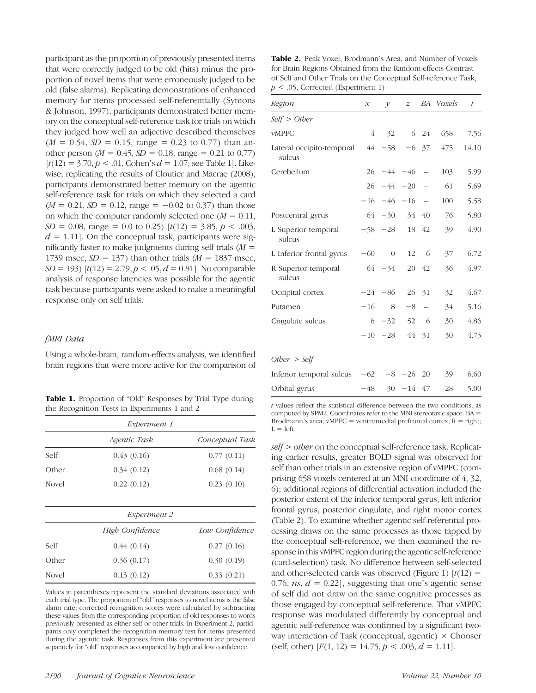participant as the proportion of previously presented items that were correctly judged to be old (hits) minus the proportion of novel items that were erroneously judged to be old (false alarms). Replicating demonstrations of enhanced memory for items processed self-referentially (Symons & Johnson, 1997), participants demonstrated better memory on the conceptual self-reference task for trials on which they judged how well an adjective described themselves  $(M = 0.54, SD = 0.15, range = 0.23$  to 0.77) than another person ( $M = 0.45$ ,  $SD = 0.18$ , range = 0.21 to 0.77)  $[t(12) = 3.70, p < .01, \text{ Cohen's } d = 1.07; \text{ see Table 1}.$  Likewise, replicating the results of Cloutier and Macrae (2008), participants demonstrated better memory on the agentic self-reference task for trials on which they selected a card  $(M = 0.21, SD = 0.12, range = -0.02$  to 0.37) than those on which the computer randomly selected one  $(M = 0.11)$ ,  $SD = 0.08$ , range = 0.0 to 0.25)  $[t(12) = 3.85, p < .003,$  $d = 1.11$ . On the conceptual task, participants were significantly faster to make judgments during self trials  $(M =$ 1739 msec,  $SD = 137$ ) than other trials ( $M = 1837$  msec,  $SD = 193$ )  $[t(12) = 2.79, p < .05, d = 0.81]$ . No comparable analysis of response latencies was possible for the agentic task because participants were asked to make a meaningful response only on self trials.

## fMRI Data

Using a whole-brain, random-effects analysis, we identified brain regions that were more active for the comparison of

Table 1. Proportion of "Old" Responses by Trial Type during the Recognition Tests in Experiments 1 and 2

| Experiment 1 |              |                 |  |  |  |  |
|--------------|--------------|-----------------|--|--|--|--|
|              | Agentic Task | Conceptual Task |  |  |  |  |
| Self         | 0.43(0.16)   | 0.77(0.11)      |  |  |  |  |
| Other        | 0.34(0.12)   | 0.68(0.14)      |  |  |  |  |
| Novel        | 0.22(0.12)   | 0.23(0.10)      |  |  |  |  |
|              |              |                 |  |  |  |  |

| Experiment 2 |                 |                |  |  |  |  |
|--------------|-----------------|----------------|--|--|--|--|
|              | High Confidence | Low Confidence |  |  |  |  |
| Self         | 0.44(0.14)      | 0.27(0.16)     |  |  |  |  |
| Other        | 0.36(0.17)      | 0.30(0.19)     |  |  |  |  |
| Novel        | 0.13(0.12)      | 0.33(0.21)     |  |  |  |  |

Values in parentheses represent the standard deviations associated with each trial type. The proportion of "old" responses to novel items is the false alarm rate; corrected recognition scores were calculated by subtracting these values from the corresponding proportion of old responses to words previously presented as either self or other trials. In Experiment 2, participants only completed the recognition memory test for items presented during the agentic task. Responses from this experiment are presented separately for "old" responses accompanied by high and low confidence.

Table 2. Peak Voxel, Brodmann's Area, and Number of Voxels for Brain Regions Obtained from the Random-effects Contrast of Self and Other Trials on the Conceptual Self-reference Task,  $p < .05$ , Corrected (Experiment 1)

| Region                              | $\mathcal{X}% _{0}$ | $\mathcal V$      | $\boldsymbol{z}$ | ΒA       | Voxels | $\bar{t}$ |
|-------------------------------------|---------------------|-------------------|------------------|----------|--------|-----------|
| Self > Other                        |                     |                   |                  |          |        |           |
| <b>vMPFC</b>                        | 4                   | 32                | 6                | 24       | 658    | 7.56      |
| Lateral occipito-temporal<br>sulcus | 44                  | $-58$             |                  | $-6$ 37  | 475    | 14.10     |
| Cerebellum                          | 26                  |                   | $-44 - 46$       |          | 103    | 5.99      |
|                                     | 26                  | $-44$             | $-20$            |          | 61     | 5.69      |
|                                     |                     | $-16$ $-46$ $-16$ |                  | $\equiv$ | 100    | 5.58      |
| Postcentral gyrus                   |                     | $64 - 30$         | 34               | 40       | 76     | 5.80      |
| L Superior temporal<br>sulcus       |                     | $-58$ $-28$       | 18               | 42       | 39     | 4.90      |
| L Inferior frontal gyrus            | $-60$               | $\overline{0}$    | 12               | 6        | 37     | 6.72      |
| R Superior temporal<br>sulcus       |                     | $64 - 34$         |                  | 20 42    | 36     | 4.97      |
| Occipital cortex                    |                     | $-24 - 86$        | 26               | 31       | 32     | 4.67      |
| Putamen                             | $-16$               | 8                 | $-8$             |          | 34     | 5.16      |
| Cingulate sulcus                    |                     | $6 -32$           | 52               | - 6      | 30     | 4.86      |
|                                     |                     | $-10$ $-28$       | 44               | 31       | 30     | 4.73      |
| Other > Self                        |                     |                   |                  |          |        |           |
| Inferior temporal sulcus            | $-62$               | $-8$              | $-26$            | 20       | 39     | 6.60      |
| Orbital gyrus                       | $-48$               | 30                | $-14$            | 47       | 28     | 5.00      |

t values reflect the statistical difference between the two conditions, as computed by SPM2. Coordinates refer to the MNI stereotaxic space. BA = Brodmann's area; vMPFC = ventromedial prefrontal cortex;  $R = right$ ;  $L = left$ .

self > other on the conceptual self-reference task. Replicating earlier results, greater BOLD signal was observed for self than other trials in an extensive region of vMPFC (comprising 658 voxels centered at an MNI coordinate of 4, 32, 6); additional regions of differential activation included the posterior extent of the inferior temporal gyrus, left inferior frontal gyrus, posterior cingulate, and right motor cortex (Table 2). To examine whether agentic self-referential processing draws on the same processes as those tapped by the conceptual self-reference, we then examined the response in this vMPFC region during the agentic self-reference (card-selection) task. No difference between self-selected and other-selected cards was observed (Figure 1)  $[t(12) =$ 0.76, *ns*,  $d = 0.22$ , suggesting that one's agentic sense of self did not draw on the same cognitive processes as those engaged by conceptual self-reference. That vMPFC response was modulated differently by conceptual and agentic self-reference was confirmed by a significant twoway interaction of Task (conceptual, agentic)  $\times$  Chooser (self, other)  $[F(1, 12) = 14.75, p < .003, d = 1.11]$ .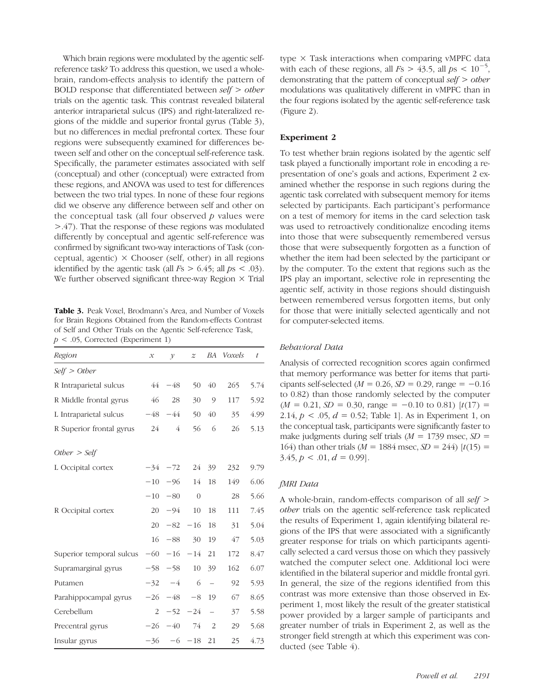Which brain regions were modulated by the agentic selfreference task? To address this question, we used a wholebrain, random-effects analysis to identify the pattern of BOLD response that differentiated between self > other trials on the agentic task. This contrast revealed bilateral anterior intraparietal sulcus (IPS) and right-lateralized regions of the middle and superior frontal gyrus (Table 3), but no differences in medial prefrontal cortex. These four regions were subsequently examined for differences between self and other on the conceptual self-reference task. Specifically, the parameter estimates associated with self (conceptual) and other (conceptual) were extracted from these regions, and ANOVA was used to test for differences between the two trial types. In none of these four regions did we observe any difference between self and other on the conceptual task (all four observed  $p$  values were >.47). That the response of these regions was modulated differently by conceptual and agentic self-reference was confirmed by significant two-way interactions of Task (conceptual, agentic)  $\times$  Chooser (self, other) in all regions identified by the agentic task (all  $Fs > 6.45$ ; all  $ps < .03$ ). We further observed significant three-way Region  $\times$  Trial

Table 3. Peak Voxel, Brodmann's Area, and Number of Voxels for Brain Regions Obtained from the Random-effects Contrast of Self and Other Trials on the Agentic Self-reference Task,  $p < .05$ , Corrected (Experiment 1)

| Region                   | $\mathcal X$ | $\mathcal V$ | $\boldsymbol{z}$ | BA                | Voxels | $\boldsymbol{t}$ |
|--------------------------|--------------|--------------|------------------|-------------------|--------|------------------|
| Self > Other             |              |              |                  |                   |        |                  |
| R Intraparietal sulcus   | 44           | $-48$        | 50               | 40                | 265    | 5.74             |
| R Middle frontal gyrus   | 46           | 28           | 30               | 9                 | 117    | 5.92             |
| L Intraparietal sulcus   | $-48$        | $-44$        | 50               | 40                | 35     | 4.99             |
| R Superior frontal gyrus | 24           | 4            | 56               | 6                 | 26     | 5.13             |
| Other $>$ Self           |              |              |                  |                   |        |                  |
| L Occipital cortex       | $-34$        | $-72$        | 24               | 39                | 232    | 9.79             |
|                          | $-10$        | $-96$        | 14               | 18                | 149    | 6.06             |
|                          | $-10$        | $-80$        | $\overline{0}$   |                   | 28     | 5.66             |
| R Occipital cortex       | 20           | $-94$        | 10               | 18                | 111    | 7.45             |
|                          | 20           | $-82$        | $-16$            | 18                | 31     | 5.04             |
|                          | 16           | $-88$        | 30               | 19                | 47     | 5.03             |
| Superior temporal sulcus | $-60$        | $-16$        | $-14$            | 21                | 172    | 8.47             |
| Supramarginal gyrus      | $-58$        | $-58$        | 10               | 39                | 162    | 6.07             |
| Putamen                  | $-32$        | $-4$         | 6                | $\qquad \qquad -$ | 92     | 5.93             |
| Parahippocampal gyrus    | $-26$        | $-48$        | $-8$             | 19                | 67     | 8.65             |
| Cerebellum               | 2            |              | $-52 -24$        |                   | 37     | 5.58             |
| Precentral gyrus         | $-26$        | $-40$        | 74               | 2                 | 29     | 5.68             |
| Insular gyrus            | $-36$        |              | $-6$ $-18$       | 21                | 25     | 4.73             |

type  $\times$  Task interactions when comparing vMPFC data with each of these regions, all  $Fs > 43.5$ , all  $ps < 10^{-5}$ , demonstrating that the pattern of conceptual self > other modulations was qualitatively different in vMPFC than in the four regions isolated by the agentic self-reference task (Figure 2).

#### Experiment 2

To test whether brain regions isolated by the agentic self task played a functionally important role in encoding a representation of one's goals and actions, Experiment 2 examined whether the response in such regions during the agentic task correlated with subsequent memory for items selected by participants. Each participant's performance on a test of memory for items in the card selection task was used to retroactively conditionalize encoding items into those that were subsequently remembered versus those that were subsequently forgotten as a function of whether the item had been selected by the participant or by the computer. To the extent that regions such as the IPS play an important, selective role in representing the agentic self, activity in those regions should distinguish between remembered versus forgotten items, but only for those that were initially selected agentically and not for computer-selected items.

#### Behavioral Data

Analysis of corrected recognition scores again confirmed that memory performance was better for items that participants self-selected ( $M = 0.26$ ,  $SD = 0.29$ , range = -0.16 to 0.82) than those randomly selected by the computer  $(M = 0.21, SD = 0.30, range = -0.10 \text{ to } 0.81)$  [t(17) = 2.14,  $p < .05$ ,  $d = 0.52$ ; Table 1. As in Experiment 1, on the conceptual task, participants were significantly faster to make judgments during self trials  $(M = 1739$  msec,  $SD =$ 164) than other trials ( $M = 1884$  msec,  $SD = 244$ )  $[t(15) =$  $3.45, p \lt 0.01, d = 0.99$ .

## fMRI Data

A whole-brain, random-effects comparison of all self > other trials on the agentic self-reference task replicated the results of Experiment 1, again identifying bilateral regions of the IPS that were associated with a significantly greater response for trials on which participants agentically selected a card versus those on which they passively watched the computer select one. Additional loci were identified in the bilateral superior and middle frontal gyri. In general, the size of the regions identified from this contrast was more extensive than those observed in Experiment 1, most likely the result of the greater statistical power provided by a larger sample of participants and greater number of trials in Experiment 2, as well as the stronger field strength at which this experiment was conducted (see Table 4).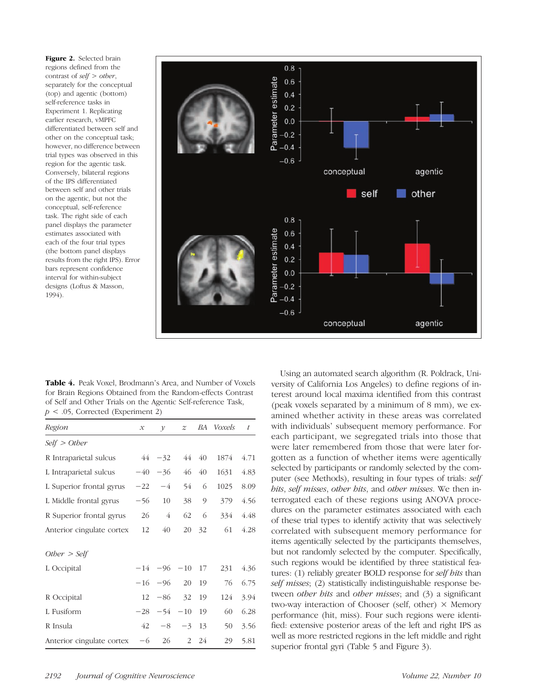Figure 2. Selected brain regions defined from the contrast of *self* > *other*, separately for the conceptual (top) and agentic (bottom) self-reference tasks in Experiment 1. Replicating earlier research, vMPFC differentiated between self and other on the conceptual task; however, no difference between trial types was observed in this region for the agentic task. Conversely, bilateral regions of the IPS differentiated between self and other trials on the agentic, but not the conceptual, self-reference task. The right side of each panel displays the parameter estimates associated with each of the four trial types (the bottom panel displays results from the right IPS). Error bars represent confidence interval for within-subject designs (Loftus & Masson, 1994).



Table 4. Peak Voxel, Brodmann's Area, and Number of Voxels for Brain Regions Obtained from the Random-effects Contrast of Self and Other Trials on the Agentic Self-reference Task,  $p < .05$ , Corrected (Experiment 2)

| Region                    | $\mathcal{X}% _{0}$ | $\mathcal V$ | $\boldsymbol{z}$ | BA | Voxels | $\bar{t}$ |
|---------------------------|---------------------|--------------|------------------|----|--------|-----------|
| Self > Other              |                     |              |                  |    |        |           |
| R Intraparietal sulcus    | 44                  | $-32$        | 44               | 40 | 1874   | 4.71      |
| L Intraparietal sulcus    | $-40$               | $-36$        | 46               | 40 | 1631   | 4.83      |
| L Superior frontal gyrus  | $-22$               | $-4$         | 54               | 6  | 1025   | 8.09      |
| L Middle frontal gyrus    | $-56$               | 10           | 38               | 9  | 379    | 4.56      |
| R Superior frontal gyrus  | 26                  | 4            | 62               | 6  | 334    | 4.48      |
| Anterior cingulate cortex | 12                  | 40           | 20               | 32 | 61     | 4.28      |
| Other $>$ Self            |                     |              |                  |    |        |           |
| L Occipital               |                     | $-14$ $-96$  | $-10$            | 17 | 231    | 4.36      |
|                           |                     | $-16 - 96$   | 20               | 19 | 76     | 6.75      |
| R Occipital               | 12                  | $-86$        | 32               | 19 | 124    | 3.94      |
| L Fusiform                | $-28$               | $-54$        | $-10$            | 19 | 60     | 6.28      |
| R Insula                  | 42                  | $-8$         | $-3$             | 13 | 50     | 3.56      |
| Anterior cingulate cortex | -6                  | 26           | $\overline{c}$   | 24 | 29     | 5.81      |

Using an automated search algorithm (R. Poldrack, University of California Los Angeles) to define regions of interest around local maxima identified from this contrast (peak voxels separated by a minimum of 8 mm), we examined whether activity in these areas was correlated with individuals' subsequent memory performance. For each participant, we segregated trials into those that were later remembered from those that were later forgotten as a function of whether items were agentically selected by participants or randomly selected by the computer (see Methods), resulting in four types of trials: self hits, self misses, other hits, and other misses. We then interrogated each of these regions using ANOVA procedures on the parameter estimates associated with each of these trial types to identify activity that was selectively correlated with subsequent memory performance for items agentically selected by the participants themselves, but not randomly selected by the computer. Specifically, such regions would be identified by three statistical features: (1) reliably greater BOLD response for self hits than self misses; (2) statistically indistinguishable response between other hits and other misses; and (3) a significant two-way interaction of Chooser (self, other)  $\times$  Memory performance (hit, miss). Four such regions were identified: extensive posterior areas of the left and right IPS as well as more restricted regions in the left middle and right superior frontal gyri (Table 5 and Figure 3).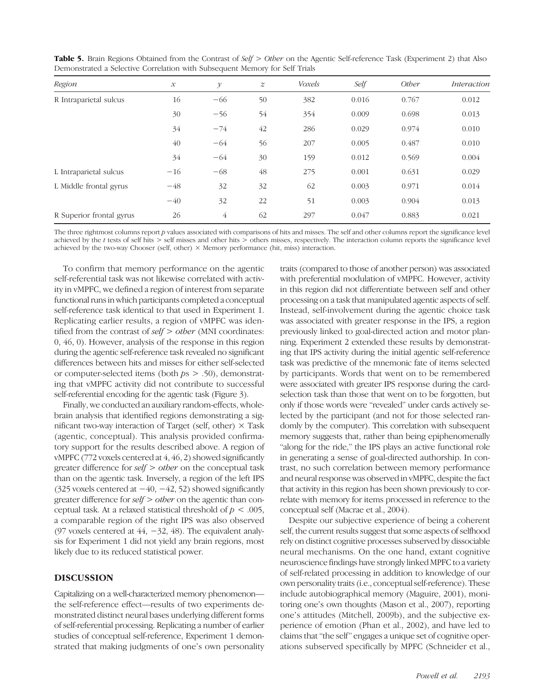| Region                   | $\mathcal{X}% _{0}$ | $\mathcal{Y}$ | $\boldsymbol{z}$ | Voxels | Self  | <b>Other</b> | <i>Interaction</i> |
|--------------------------|---------------------|---------------|------------------|--------|-------|--------------|--------------------|
| R Intraparietal sulcus   | 16                  | $-66$         | 50               | 382    | 0.016 | 0.767        | 0.012              |
|                          | 30                  | $-56$         | 54               | 354    | 0.009 | 0.698        | 0.013              |
|                          | 34                  | $-74$         | 42               | 286    | 0.029 | 0.974        | 0.010              |
|                          | 40                  | $-64$         | 56               | 207    | 0.005 | 0.487        | 0.010              |
|                          | 34                  | $-64$         | 30               | 159    | 0.012 | 0.569        | 0.004              |
| L Intraparietal sulcus   | $-16$               | $-68$         | 48               | 275    | 0.001 | 0.631        | 0.029              |
| L Middle frontal gyrus   | $-48$               | 32            | 32               | 62     | 0.003 | 0.971        | 0.014              |
|                          | $-40$               | 32            | 22               | 51     | 0.003 | 0.904        | 0.013              |
| R Superior frontal gyrus | 26                  | 4             | 62               | 297    | 0.047 | 0.883        | 0.021              |

Table 5. Brain Regions Obtained from the Contrast of Self > Other on the Agentic Self-reference Task (Experiment 2) that Also Demonstrated a Selective Correlation with Subsequent Memory for Self Trials

The three rightmost columns report p values associated with comparisons of hits and misses. The self and other columns report the significance level achieved by the t tests of self hits > self misses and other hits > others misses, respectively. The interaction column reports the significance level achieved by the two-way Chooser (self, other)  $\times$  Memory performance (hit, miss) interaction.

To confirm that memory performance on the agentic self-referential task was not likewise correlated with activity in vMPFC, we defined a region of interest from separate functional runs in which participants completed a conceptual self-reference task identical to that used in Experiment 1. Replicating earlier results, a region of vMPFC was identified from the contrast of self > other (MNI coordinates: 0, 46, 0). However, analysis of the response in this region during the agentic self-reference task revealed no significant differences between hits and misses for either self-selected or computer-selected items (both  $ps > .50$ ), demonstrating that vMPFC activity did not contribute to successful self-referential encoding for the agentic task (Figure 3).

Finally, we conducted an auxiliary random-effects, wholebrain analysis that identified regions demonstrating a significant two-way interaction of Target (self, other)  $\times$  Task (agentic, conceptual). This analysis provided confirmatory support for the results described above. A region of vMPFC (772 voxels centered at 4, 46, 2) showed significantly greater difference for self > other on the conceptual task than on the agentic task. Inversely, a region of the left IPS (325 voxels centered at  $-40, -42, 52$ ) showed significantly greater difference for self > other on the agentic than conceptual task. At a relaxed statistical threshold of  $p < .005$ , a comparable region of the right IPS was also observed (97 voxels centered at  $44, -32, 48$ ). The equivalent analysis for Experiment 1 did not yield any brain regions, most likely due to its reduced statistical power.

# DISCUSSION

Capitalizing on a well-characterized memory phenomenon the self-reference effect—results of two experiments demonstrated distinct neural bases underlying different forms of self-referential processing. Replicating a number of earlier studies of conceptual self-reference, Experiment 1 demonstrated that making judgments of one's own personality

traits (compared to those of another person) was associated with preferential modulation of vMPFC. However, activity in this region did not differentiate between self and other processing on a task that manipulated agentic aspects of self. Instead, self-involvement during the agentic choice task was associated with greater response in the IPS, a region previously linked to goal-directed action and motor planning. Experiment 2 extended these results by demonstrating that IPS activity during the initial agentic self-reference task was predictive of the mnemonic fate of items selected by participants. Words that went on to be remembered were associated with greater IPS response during the cardselection task than those that went on to be forgotten, but only if those words were "revealed" under cards actively selected by the participant (and not for those selected randomly by the computer). This correlation with subsequent memory suggests that, rather than being epiphenomenally "along for the ride," the IPS plays an active functional role in generating a sense of goal-directed authorship. In contrast, no such correlation between memory performance and neural response was observed in vMPFC, despite the fact that activity in this region has been shown previously to correlate with memory for items processed in reference to the conceptual self (Macrae et al., 2004).

Despite our subjective experience of being a coherent self, the current results suggest that some aspects of selfhood rely on distinct cognitive processes subserved by dissociable neural mechanisms. On the one hand, extant cognitive neuroscience findings have strongly linked MPFC to a variety of self-related processing in addition to knowledge of our own personality traits (i.e., conceptual self-reference). These include autobiographical memory (Maguire, 2001), monitoring one's own thoughts (Mason et al., 2007), reporting one's attitudes (Mitchell, 2009b), and the subjective experience of emotion (Phan et al., 2002), and have led to claims that"the self" engages a unique set of cognitive operations subserved specifically by MPFC (Schneider et al.,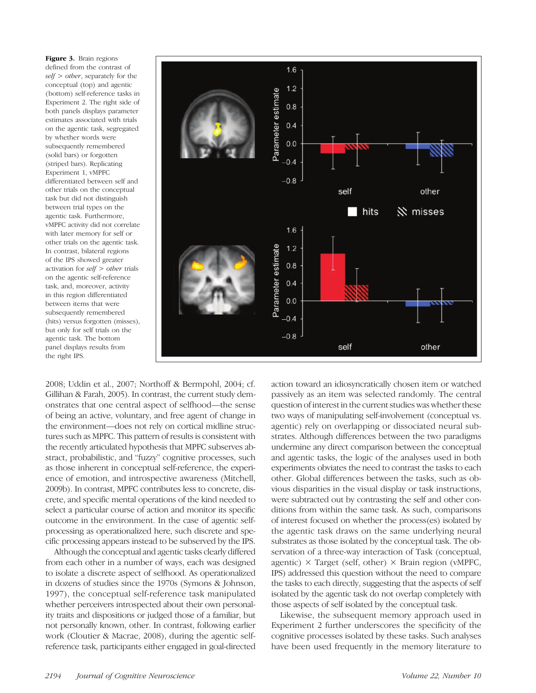Figure 3. Brain regions defined from the contrast of self > other, separately for the conceptual (top) and agentic (bottom) self-reference tasks in Experiment 2. The right side of both panels displays parameter estimates associated with trials on the agentic task, segregated by whether words were subsequently remembered (solid bars) or forgotten (striped bars). Replicating Experiment 1, vMPFC differentiated between self and other trials on the conceptual task but did not distinguish between trial types on the agentic task. Furthermore, vMPFC activity did not correlate with later memory for self or other trials on the agentic task. In contrast, bilateral regions of the IPS showed greater activation for self > other trials on the agentic self-reference task, and, moreover, activity in this region differentiated between items that were subsequently remembered (hits) versus forgotten (misses), but only for self trials on the agentic task. The bottom panel displays results from the right IPS.



2008; Uddin et al., 2007; Northoff & Bermpohl, 2004; cf. Gillihan & Farah, 2005). In contrast, the current study demonstrates that one central aspect of selfhood—the sense of being an active, voluntary, and free agent of change in the environment—does not rely on cortical midline structures such as MPFC. This pattern of results is consistent with the recently articulated hypothesis that MPFC subserves abstract, probabilistic, and "fuzzy" cognitive processes, such as those inherent in conceptual self-reference, the experience of emotion, and introspective awareness (Mitchell, 2009b). In contrast, MPFC contributes less to concrete, discrete, and specific mental operations of the kind needed to select a particular course of action and monitor its specific outcome in the environment. In the case of agentic selfprocessing as operationalized here, such discrete and specific processing appears instead to be subserved by the IPS.

Although the conceptual and agentic tasks clearly differed from each other in a number of ways, each was designed to isolate a discrete aspect of selfhood. As operationalized in dozens of studies since the 1970s (Symons & Johnson, 1997), the conceptual self-reference task manipulated whether perceivers introspected about their own personality traits and dispositions or judged those of a familiar, but not personally known, other. In contrast, following earlier work (Cloutier & Macrae, 2008), during the agentic selfreference task, participants either engaged in goal-directed action toward an idiosyncratically chosen item or watched passively as an item was selected randomly. The central question of interest in the current studies was whether these two ways of manipulating self-involvement (conceptual vs. agentic) rely on overlapping or dissociated neural substrates. Although differences between the two paradigms undermine any direct comparison between the conceptual and agentic tasks, the logic of the analyses used in both experiments obviates the need to contrast the tasks to each other. Global differences between the tasks, such as obvious disparities in the visual display or task instructions, were subtracted out by contrasting the self and other conditions from within the same task. As such, comparisons of interest focused on whether the process(es) isolated by the agentic task draws on the same underlying neural substrates as those isolated by the conceptual task. The observation of a three-way interaction of Task (conceptual, agentic)  $\times$  Target (self, other)  $\times$  Brain region (vMPFC, IPS) addressed this question without the need to compare the tasks to each directly, suggesting that the aspects of self isolated by the agentic task do not overlap completely with those aspects of self isolated by the conceptual task.

Likewise, the subsequent memory approach used in Experiment 2 further underscores the specificity of the cognitive processes isolated by these tasks. Such analyses have been used frequently in the memory literature to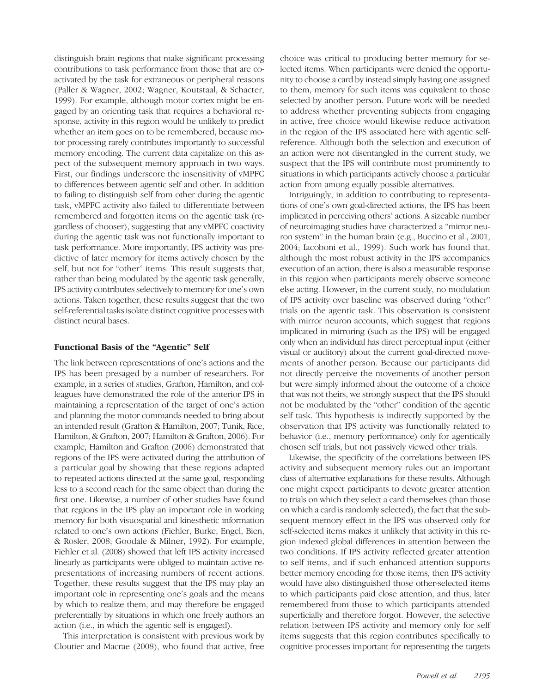distinguish brain regions that make significant processing contributions to task performance from those that are coactivated by the task for extraneous or peripheral reasons (Paller & Wagner, 2002; Wagner, Koutstaal, & Schacter, 1999). For example, although motor cortex might be engaged by an orienting task that requires a behavioral response, activity in this region would be unlikely to predict whether an item goes on to be remembered, because motor processing rarely contributes importantly to successful memory encoding. The current data capitalize on this aspect of the subsequent memory approach in two ways. First, our findings underscore the insensitivity of vMPFC to differences between agentic self and other. In addition to failing to distinguish self from other during the agentic task, vMPFC activity also failed to differentiate between remembered and forgotten items on the agentic task (regardless of chooser), suggesting that any vMPFC coactivity during the agentic task was not functionally important to task performance. More importantly, IPS activity was predictive of later memory for items actively chosen by the self, but not for "other" items. This result suggests that, rather than being modulated by the agentic task generally, IPS activity contributes selectively to memory for one's own actions. Taken together, these results suggest that the two self-referential tasks isolate distinct cognitive processes with distinct neural bases.

## Functional Basis of the "Agentic" Self

The link between representations of one's actions and the IPS has been presaged by a number of researchers. For example, in a series of studies, Grafton, Hamilton, and colleagues have demonstrated the role of the anterior IPS in maintaining a representation of the target of one's action and planning the motor commands needed to bring about an intended result (Grafton & Hamilton, 2007; Tunik, Rice, Hamilton, & Grafton, 2007; Hamilton & Grafton, 2006). For example, Hamilton and Grafton (2006) demonstrated that regions of the IPS were activated during the attribution of a particular goal by showing that these regions adapted to repeated actions directed at the same goal, responding less to a second reach for the same object than during the first one. Likewise, a number of other studies have found that regions in the IPS play an important role in working memory for both visuospatial and kinesthetic information related to one's own actions (Fiehler, Burke, Engel, Bien, & Rosler, 2008; Goodale & Milner, 1992). For example, Fiehler et al. (2008) showed that left IPS activity increased linearly as participants were obliged to maintain active representations of increasing numbers of recent actions. Together, these results suggest that the IPS may play an important role in representing one's goals and the means by which to realize them, and may therefore be engaged preferentially by situations in which one freely authors an action (i.e., in which the agentic self is engaged).

This interpretation is consistent with previous work by Cloutier and Macrae (2008), who found that active, free

choice was critical to producing better memory for selected items. When participants were denied the opportunity to choose a card by instead simply having one assigned to them, memory for such items was equivalent to those selected by another person. Future work will be needed to address whether preventing subjects from engaging in active, free choice would likewise reduce activation in the region of the IPS associated here with agentic selfreference. Although both the selection and execution of an action were not disentangled in the current study, we suspect that the IPS will contribute most prominently to situations in which participants actively choose a particular action from among equally possible alternatives.

Intriguingly, in addition to contributing to representations of one's own goal-directed actions, the IPS has been implicated in perceiving others' actions. A sizeable number of neuroimaging studies have characterized a "mirror neuron system" in the human brain (e.g., Buccino et al., 2001, 2004; Iacoboni et al., 1999). Such work has found that, although the most robust activity in the IPS accompanies execution of an action, there is also a measurable response in this region when participants merely observe someone else acting. However, in the current study, no modulation of IPS activity over baseline was observed during "other" trials on the agentic task. This observation is consistent with mirror neuron accounts, which suggest that regions implicated in mirroring (such as the IPS) will be engaged only when an individual has direct perceptual input (either visual or auditory) about the current goal-directed movements of another person. Because our participants did not directly perceive the movements of another person but were simply informed about the outcome of a choice that was not theirs, we strongly suspect that the IPS should not be modulated by the "other" condition of the agentic self task. This hypothesis is indirectly supported by the observation that IPS activity was functionally related to behavior (i.e., memory performance) only for agentically chosen self trials, but not passively viewed other trials.

Likewise, the specificity of the correlations between IPS activity and subsequent memory rules out an important class of alternative explanations for these results. Although one might expect participants to devote greater attention to trials on which they select a card themselves (than those on which a card is randomly selected), the fact that the subsequent memory effect in the IPS was observed only for self-selected items makes it unlikely that activity in this region indexed global differences in attention between the two conditions. If IPS activity reflected greater attention to self items, and if such enhanced attention supports better memory encoding for those items, then IPS activity would have also distinguished those other-selected items to which participants paid close attention, and thus, later remembered from those to which participants attended superficially and therefore forgot. However, the selective relation between IPS activity and memory only for self items suggests that this region contributes specifically to cognitive processes important for representing the targets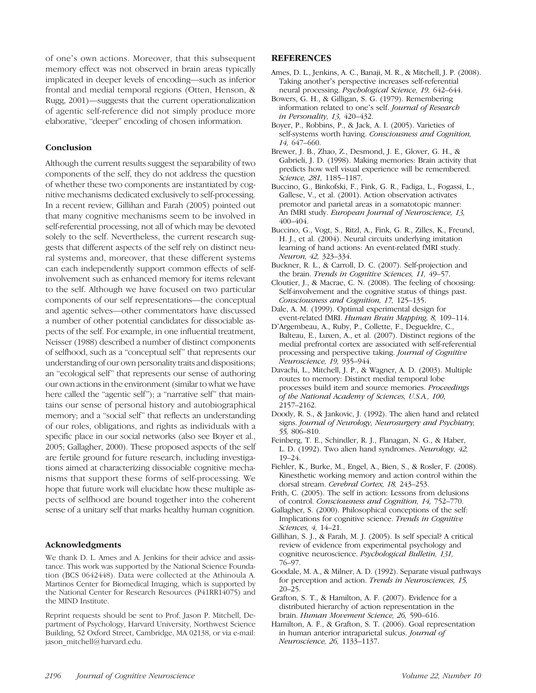of one's own actions. Moreover, that this subsequent memory effect was not observed in brain areas typically implicated in deeper levels of encoding—such as inferior frontal and medial temporal regions (Otten, Henson, & Rugg, 2001)—suggests that the current operationalization of agentic self-reference did not simply produce more elaborative, "deeper" encoding of chosen information.

#### **Conclusion**

Although the current results suggest the separability of two components of the self, they do not address the question of whether these two components are instantiated by cognitive mechanisms dedicated exclusively to self-processing. In a recent review, Gillihan and Farah (2005) pointed out that many cognitive mechanisms seem to be involved in self-referential processing, not all of which may be devoted solely to the self. Nevertheless, the current research suggests that different aspects of the self rely on distinct neural systems and, moreover, that these different systems can each independently support common effects of selfinvolvement such as enhanced memory for items relevant to the self. Although we have focused on two particular components of our self representations—the conceptual and agentic selves—other commentators have discussed a number of other potential candidates for dissociable aspects of the self. For example, in one influential treatment, Neisser (1988) described a number of distinct components of selfhood, such as a "conceptual self" that represents our understanding of our own personality traits and dispositions; an "ecological self" that represents our sense of authoring our own actions in the environment (similar to what we have here called the "agentic self"); a "narrative self" that maintains our sense of personal history and autobiographical memory; and a "social self" that reflects an understanding of our roles, obligations, and rights as individuals with a specific place in our social networks (also see Boyer et al., 2005; Gallagher, 2000). These proposed aspects of the self are fertile ground for future research, including investigations aimed at characterizing dissociable cognitive mechanisms that support these forms of self-processing. We hope that future work will elucidate how these multiple aspects of selfhood are bound together into the coherent sense of a unitary self that marks healthy human cognition.

#### Acknowledgments

We thank D. L. Ames and A. Jenkins for their advice and assistance. This work was supported by the National Science Foundation (BCS 0642448). Data were collected at the Athinoula A. Martinos Center for Biomedical Imaging, which is supported by the National Center for Research Resources (P41RR14075) and the MIND Institute.

Reprint requests should be sent to Prof. Jason P. Mitchell, Department of Psychology, Harvard University, Northwest Science Building, 52 Oxford Street, Cambridge, MA 02138, or via e-mail: jason\_mitchell@harvard.edu.

#### **REFERENCES**

- Ames, D. L., Jenkins, A. C., Banaji, M. R., & Mitchell, J. P. (2008). Taking another's perspective increases self-referential neural processing. Psychological Science, 19, 642–644.
- Bowers, G. H., & Gilligan, S. G. (1979). Remembering information related to one's self. Journal of Research in Personality, 13, 420–432.
- Boyer, P., Robbins, P., & Jack, A. I. (2005). Varieties of self-systems worth having. Consciousness and Cognition, 14, 647–660.
- Brewer, J. B., Zhao, Z., Desmond, J. E., Glover, G. H., & Gabrieli, J. D. (1998). Making memories: Brain activity that predicts how well visual experience will be remembered. Science, 281, 1185–1187.
- Buccino, G., Binkofski, F., Fink, G. R., Fadiga, L., Fogassi, L., Gallese, V., et al. (2001). Action observation activates premotor and parietal areas in a somatotopic manner: An fMRI study. European Journal of Neuroscience, 13, 400–404.
- Buccino, G., Vogt, S., Ritzl, A., Fink, G. R., Zilles, K., Freund, H. J., et al. (2004). Neural circuits underlying imitation learning of hand actions: An event-related fMRI study. Neuron, 42, 323–334.
- Buckner, R. L., & Carroll, D. C. (2007). Self-projection and the brain. Trends in Cognitive Sciences, 11, 49–57.
- Cloutier, J., & Macrae, C. N. (2008). The feeling of choosing: Self-involvement and the cognitive status of things past. Consciousness and Cognition, 17, 125–135.
- Dale, A. M. (1999). Optimal experimental design for event-related fMRI. Human Brain Mapping, 8, 109–114.
- D'Argembeau, A., Ruby, P., Collette, F., Degueldre, C., Balteau, E., Luxen, A., et al. (2007). Distinct regions of the medial prefrontal cortex are associated with self-referential processing and perspective taking. Journal of Cognitive Neuroscience, 19, 935–944.
- Davachi, L., Mitchell, J. P., & Wagner, A. D. (2003). Multiple routes to memory: Distinct medial temporal lobe processes build item and source memories. Proceedings of the National Academy of Sciences, U.S.A., 100, 2157–2162.
- Doody, R. S., & Jankovic, J. (1992). The alien hand and related signs. Journal of Neurology, Neurosurgery and Psychiatry, 55, 806–810.
- Feinberg, T. E., Schindler, R. J., Flanagan, N. G., & Haber, L. D. (1992). Two alien hand syndromes. Neurology, 42, 19–24.
- Fiehler, K., Burke, M., Engel, A., Bien, S., & Rosler, F. (2008). Kinesthetic working memory and action control within the dorsal stream. Cerebral Cortex, 18, 243–253.
- Frith, C. (2005). The self in action: Lessons from delusions of control. Consciousness and Cognition, 14, 752–770.
- Gallagher, S. (2000). Philosophical conceptions of the self: Implications for cognitive science. Trends in Cognitive Sciences, 4, 14–21.
- Gillihan, S. J., & Farah, M. J. (2005). Is self special? A critical review of evidence from experimental psychology and cognitive neuroscience. Psychological Bulletin, 131, 76–97.
- Goodale, M. A., & Milner, A. D. (1992). Separate visual pathways for perception and action. Trends in Neurosciences, 15, 20–25.
- Grafton, S. T., & Hamilton, A. F. (2007). Evidence for a distributed hierarchy of action representation in the brain. Human Movement Science, 26, 590–616.
- Hamilton, A. F., & Grafton, S. T. (2006). Goal representation in human anterior intraparietal sulcus. Journal of Neuroscience, 26, 1133–1137.